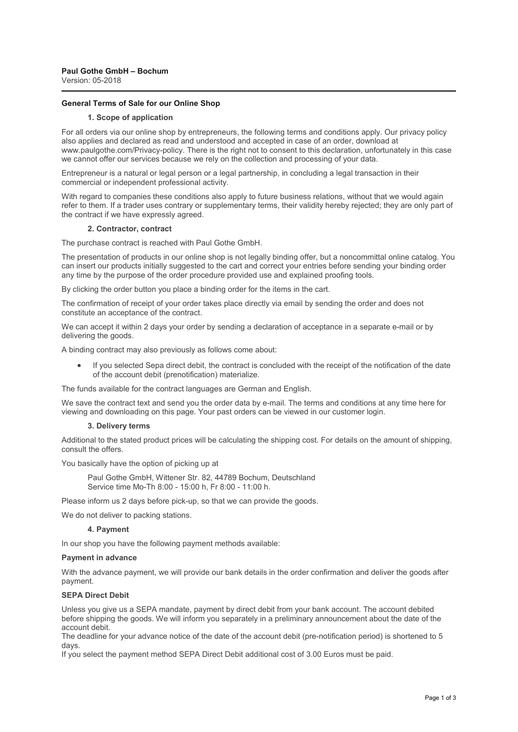# **General Terms of Sale for our Online Shop**

#### **1. Scope of application**

For all orders via our online shop by entrepreneurs, the following terms and conditions apply. Our privacy policy also applies and declared as read and understood and accepted in case of an order, download at www.paulgothe.com/Privacy-policy. There is the right not to consent to this declaration, unfortunately in this case we cannot offer our services because we rely on the collection and processing of your data.

Entrepreneur is a natural or legal person or a legal partnership, in concluding a legal transaction in their commercial or independent professional activity.

With regard to companies these conditions also apply to future business relations, without that we would again refer to them. If a trader uses contrary or supplementary terms, their validity hereby rejected; they are only part of the contract if we have expressly agreed.

#### **2. Contractor, contract**

The purchase contract is reached with Paul Gothe GmbH.

The presentation of products in our online shop is not legally binding offer, but a noncommittal online catalog. You can insert our products initially suggested to the cart and correct your entries before sending your binding order any time by the purpose of the order procedure provided use and explained proofing tools.

By clicking the order button you place a binding order for the items in the cart.

The confirmation of receipt of your order takes place directly via email by sending the order and does not constitute an acceptance of the contract.

We can accept it within 2 days your order by sending a declaration of acceptance in a separate e-mail or by delivering the goods.

A binding contract may also previously as follows come about:

If you selected Sepa direct debit, the contract is concluded with the receipt of the notification of the date of the account debit (prenotification) materialize.

The funds available for the contract languages are German and English.

We save the contract text and send you the order data by e-mail. The terms and conditions at any time here for viewing and downloading on this page. Your past orders can be viewed in our customer login.

#### **3. Delivery terms**

Additional to the stated product prices will be calculating the shipping cost. For details on the amount of shipping, consult the offers.

You basically have the option of picking up at

Paul Gothe GmbH, Wittener Str. 82, 44789 Bochum, Deutschland Service time Mo-Th 8:00 - 15:00 h, Fr 8:00 - 11:00 h.

Please inform us 2 days before pick-up, so that we can provide the goods.

We do not deliver to packing stations.

## **4. Payment**

In our shop you have the following payment methods available:

#### **Payment in advance**

With the advance payment, we will provide our bank details in the order confirmation and deliver the goods after payment.

#### **SEPA Direct Debit**

Unless you give us a SEPA mandate, payment by direct debit from your bank account. The account debited before shipping the goods. We will inform you separately in a preliminary announcement about the date of the account debit.

The deadline for your advance notice of the date of the account debit (pre-notification period) is shortened to 5 days.

If you select the payment method SEPA Direct Debit additional cost of 3.00 Euros must be paid.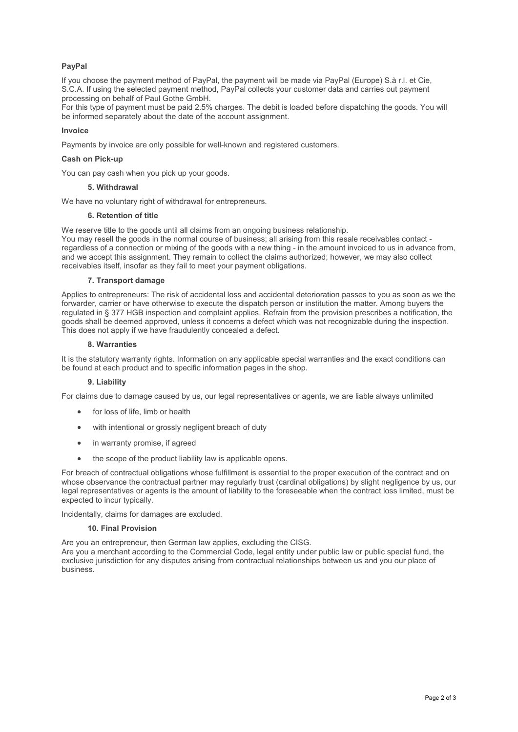# **PayPal**

If you choose the payment method of PayPal, the payment will be made via PayPal (Europe) S.à r.l. et Cie, S.C.A. If using the selected payment method, PayPal collects your customer data and carries out payment processing on behalf of Paul Gothe GmbH.

For this type of payment must be paid 2.5% charges. The debit is loaded before dispatching the goods. You will be informed separately about the date of the account assignment.

# **Invoice**

Payments by invoice are only possible for well-known and registered customers.

## **Cash on Pick-up**

You can pay cash when you pick up your goods.

## **5. Withdrawal**

We have no voluntary right of withdrawal for entrepreneurs.

# **6. Retention of title**

We reserve title to the goods until all claims from an ongoing business relationship.

You may resell the goods in the normal course of business; all arising from this resale receivables contact regardless of a connection or mixing of the goods with a new thing - in the amount invoiced to us in advance from, and we accept this assignment. They remain to collect the claims authorized; however, we may also collect receivables itself, insofar as they fail to meet your payment obligations.

## **7. Transport damage**

Applies to entrepreneurs: The risk of accidental loss and accidental deterioration passes to you as soon as we the forwarder, carrier or have otherwise to execute the dispatch person or institution the matter. Among buyers the regulated in § 377 HGB inspection and complaint applies. Refrain from the provision prescribes a notification, the goods shall be deemed approved, unless it concerns a defect which was not recognizable during the inspection. This does not apply if we have fraudulently concealed a defect.

## **8. Warranties**

It is the statutory warranty rights. Information on any applicable special warranties and the exact conditions can be found at each product and to specific information pages in the shop.

# **9. Liability**

For claims due to damage caused by us, our legal representatives or agents, we are liable always unlimited

- for loss of life, limb or health
- with intentional or grossly negligent breach of duty
- in warranty promise, if agreed
- the scope of the product liability law is applicable opens.

For breach of contractual obligations whose fulfillment is essential to the proper execution of the contract and on whose observance the contractual partner may regularly trust (cardinal obligations) by slight negligence by us, our legal representatives or agents is the amount of liability to the foreseeable when the contract loss limited, must be expected to incur typically.

Incidentally, claims for damages are excluded.

#### **10. Final Provision**

Are you an entrepreneur, then German law applies, excluding the CISG.

Are you a merchant according to the Commercial Code, legal entity under public law or public special fund, the exclusive jurisdiction for any disputes arising from contractual relationships between us and you our place of business.